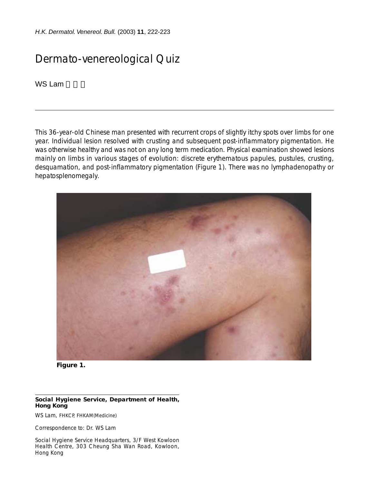*H.K. Dermatol. Venereol. Bull.* (2003) **11**, 222-223

## Dermato-venereological Quiz

WS Lam

This 36-year-old Chinese man presented with recurrent crops of slightly itchy spots over limbs for one year. Individual lesion resolved with crusting and subsequent post-inflammatory pigmentation. He was otherwise healthy and was not on any long term medication. Physical examination showed lesions mainly on limbs in various stages of evolution: discrete erythematous papules, pustules, crusting, desquamation, and post-inflammatory pigmentation (Figure 1). There was no lymphadenopathy or hepatosplenomegaly.



**Figure 1.**

## **Social Hygiene Service, Department of Health, Hong Kong**

WS Lam, FHKCP, FHKAM(Medicine)

Correspondence to: Dr. WS Lam

Social Hygiene Service Headquarters, 3/F West Kowloon Health Centre, 303 Cheung Sha Wan Road, Kowloon, Hong Kong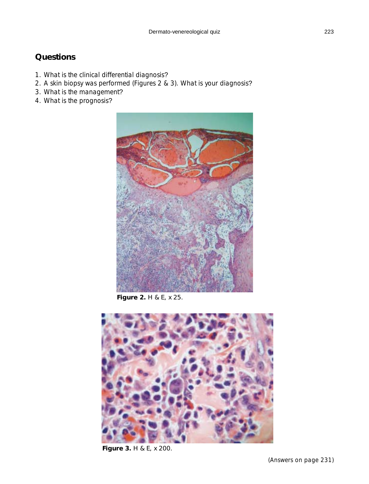## **Questions**

- 1. What is the clinical differential diagnosis?
- 2. A skin biopsy was performed (Figures 2 & 3). What is your diagnosis?
- 3. What is the management?
- 4. What is the prognosis?



**Figure 2.** H & E, x 25.



**Figure 3.** H & E, x 200.